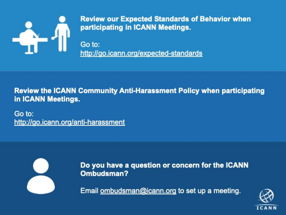

**Review our Expected Standards of Behavior when** participating in ICANN Meetings.

Go to: http://go.icann.org/expected-standards

**Review the ICANN Community Anti-Harassment Policy when participating** in ICANN Meetings.

Go to: http://go.icann.org/anti-harassment



Do you have a question or concern for the ICANN Ombudsman?

Email ombudsman@icann.org to set up a meeting.

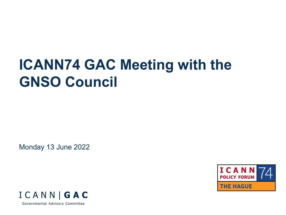# **ICANN74 GAC Meeting with the GNSO Council**

Monday 13 June 2022



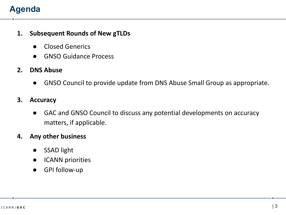## **Agenda**

## **1. Subsequent Rounds of New gTLDs**

- Closed Generics
- **GNSO Guidance Process**

## **2. DNS Abuse**

● GNSO Council to provide update from DNS Abuse Small Group as appropriate.

## **3. Accuracy**

GAC and GNSO Council to discuss any potential developments on accuracy matters, if applicable.

### **4. Any other business**

- **SSAD light**
- **ICANN** priorities
- **GPI follow-up**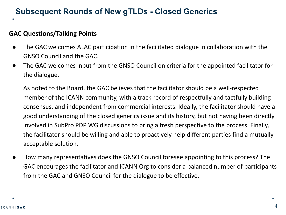## **GAC Questions/Talking Points**

- The GAC welcomes ALAC participation in the facilitated dialogue in collaboration with the GNSO Council and the GAC.
- The GAC welcomes input from the GNSO Council on criteria for the appointed facilitator for the dialogue.

As noted to the Board, the GAC believes that the facilitator should be a well-respected member of the ICANN community, with a track-record of respectfully and tactfully building consensus, and independent from commercial interests. Ideally, the facilitator should have a good understanding of the closed generics issue and its history, but not having been directly involved in SubPro PDP WG discussions to bring a fresh perspective to the process. Finally, the facilitator should be willing and able to proactively help different parties find a mutually acceptable solution.

How many representatives does the GNSO Council foresee appointing to this process? The GAC encourages the facilitator and ICANN Org to consider a balanced number of participants from the GAC and GNSO Council for the dialogue to be effective.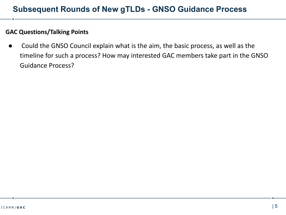#### **GAC Questions/Talking Points**

Could the GNSO Council explain what is the aim, the basic process, as well as the timeline for such a process? How may interested GAC members take part in the GNSO Guidance Process?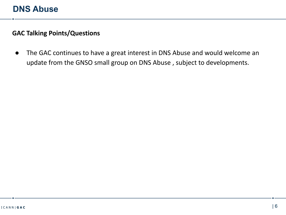**GAC Talking Points/Questions**

● The GAC continues to have a great interest in DNS Abuse and would welcome an update from the GNSO small group on DNS Abuse , subject to developments.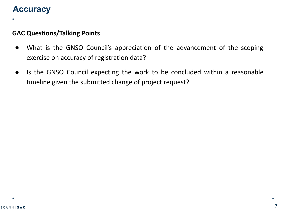## **GAC Questions/Talking Points**

- What is the GNSO Council's appreciation of the advancement of the scoping exercise on accuracy of registration data?
- Is the GNSO Council expecting the work to be concluded within a reasonable timeline given the submitted change of project request?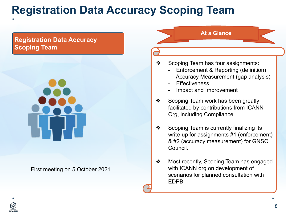## **Registration Data Accuracy Scoping Team**

## **Registration Data Accuracy Scoping Team**



First meeting on 5 October 2021

# ❖ Scoping Team has four assignments: Enforcement & Reporting (definition) Accuracy Measurement (gap analysis)

**At a Glance**

- **Fffectiveness**
- Impact and Improvement
- ❖ Scoping Team work has been greatly facilitated by contributions from ICANN Org, including Compliance.
- ❖ Scoping Team is currently finalizing its write-up for assignments #1 (enforcement) & #2 (accuracy measurement) for GNSO Council.
- ❖ Most recently, Scoping Team has engaged with ICANN org on development of scenarios for planned consultation with EDPB